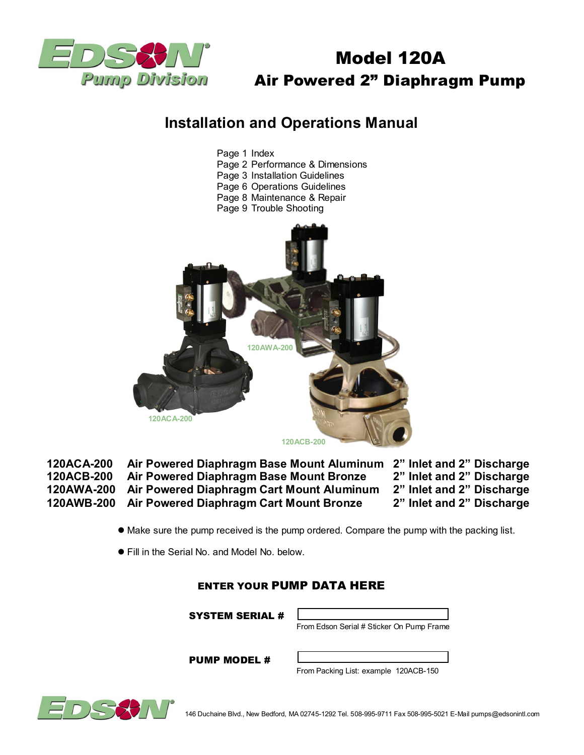

# Model 120A Air Powered 2" Diaphragm Pump

# **Installation and Operations Manual**



 **120ACA-200 Air Powered Diaphragm Base Mount Aluminum 2" Inlet and 2" Discharge 120ACB-200 Air Powered Diaphragm Base Mount Bronze 2" Inlet and 2" Discharge 120AWA-200 Air Powered Diaphragm Cart Mount Aluminum 2" Inlet and 2" Discharge 120AWB-200 Air Powered Diaphragm Cart Mount Bronze** 

- $\bullet$  Make sure the pump received is the pump ordered. Compare the pump with the packing list.
- Fill in the Serial No. and Model No. below.

# ENTER YOUR PUMP DATA HERE

SYSTEM SERIAL #



PUMP MODEL #

From Packing List: example 120ACB-150

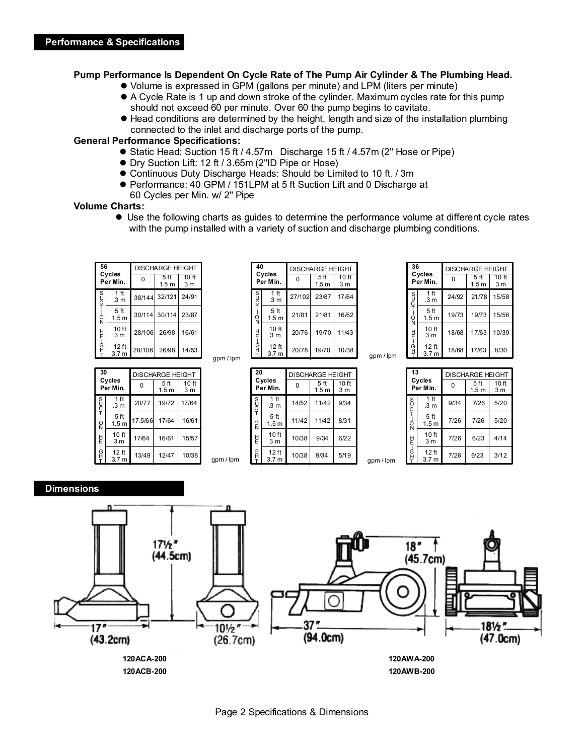#### **Pump Performance Is Dependent On Cycle Rate of The Pump Air Cylinder & The Plumbing Head.**

- l Volume is expressed in GPM (gallons per minute) and LPM (liters per minute)
- l A Cycle Rate is 1 up and down stroke of the cylinder. Maximum cycles rate for this pump should not exceed 60 per minute. Over 60 the pump begins to cavitate.
- l Head conditions are determined by the height, length and size of the installation plumbing connected to the inlet and discharge ports of the pump.

## **General Performance Specifications:**

- Static Head: Suction 15 ft / 4.57m Discharge 15 ft / 4.57m (2" Hose or Pipe)
- Dry Suction Lift: 12 ft / 3.65m (2"ID Pipe or Hose)

gpm / lpm

- **Continuous Duty Discharge Heads: Should be Limited to 10 ft. / 3m**
- Performance: 40 GPM / 151LPM at 5 ft Suction Lift and 0 Discharge at 60 Cycles per Min. w/ 2" Pipe
- 

## **Volume Charts:**

 $\bullet$  Use the following charts as guides to determine the performance volume at different cycle rates with the pump installed with a variety of suction and discharge plumbing conditions.

| 56<br>Cycles<br>Per Min. |                                     | <b>DISCHARGE HEIGHT</b> |                                     |                                    |
|--------------------------|-------------------------------------|-------------------------|-------------------------------------|------------------------------------|
|                          |                                     | O                       | 5 <sub>ft</sub><br>1.5 <sub>m</sub> | 10 <sub>ft</sub><br>3 <sub>m</sub> |
| so-To<br>H<br>E – G<br>H | 1 <sub>ft</sub><br>.3 <sub>m</sub>  |                         | 38/144 32/121                       | 24/91                              |
|                          | 5 <sub>ft</sub><br>1.5 <sub>m</sub> |                         | 30/114 30/114                       | 23/87                              |
|                          | 10 <sub>ft</sub><br>3 <sub>m</sub>  | 28/106                  | 26/98                               | 16/61                              |
|                          | $12$ ft<br>3.7 <sub>m</sub>         | 28/106                  | 26/98                               | 14/53                              |

| 30<br>Cycles<br>Per Min. |                                      | <b>DISCHARGE HEIGHT</b> |                                     |                                    |  |
|--------------------------|--------------------------------------|-------------------------|-------------------------------------|------------------------------------|--|
|                          |                                      |                         | 5 <sub>ft</sub><br>1.5 <sub>m</sub> | 10 <sub>ft</sub><br>3 <sub>m</sub> |  |
| SUC<br>T<br>I            | 1 ft<br>.3 <sub>m</sub>              | 20/77                   | 19/72                               | 17/64                              |  |
| ċ<br>N<br>벝<br>Ġ         | 5ft<br>1.5 <sub>m</sub>              | 17.5/66                 | 17/64                               | 16/61                              |  |
|                          | 10 <sub>ft</sub><br>3 <sub>m</sub>   | 17/64                   | 16/61                               | 15/57                              |  |
|                          | 12 <sub>ft</sub><br>3.7 <sub>m</sub> | 13/49                   | 12/47                               | 10/38                              |  |

| 40           | Cycles                              | <b>DISCHARGE HEIGHT</b> |                                     |                                    |
|--------------|-------------------------------------|-------------------------|-------------------------------------|------------------------------------|
|              | Per Min.                            | 0                       | 5 <sub>ft</sub><br>1.5 <sub>m</sub> | 10 <sub>ft</sub><br>3 <sub>m</sub> |
| s<br>UC<br>T | 1 <sub>ft</sub><br>.3 <sub>m</sub>  | 27/102                  | 23/87                               | 17/64                              |
| ġ            | 5 <sub>ft</sub><br>1.5 <sub>m</sub> | 21/81                   | 21/81                               | 16/62                              |
|              | 10 ft<br>3 <sub>m</sub>             | 20/76                   | 19/70                               | 11/43                              |
| HO-LH        | 12 ft<br>3.7 <sub>m</sub>           | 20/78                   | 19/70                               | 10/38                              |

|           | 20<br>Cycles     |                                    |       | <b>DISCHARGE HEIGHT</b>  |                                    |           |
|-----------|------------------|------------------------------------|-------|--------------------------|------------------------------------|-----------|
|           |                  | Per Min.                           | 0     | 5 ft<br>1.5 <sub>m</sub> | 10 <sub>ft</sub><br>3 <sub>m</sub> |           |
|           | S<br>C<br>T      | 1 ft<br>.3 m                       | 14/52 | 11/42                    | 9/34                               |           |
|           | $\Omega_{\rm N}$ | 5 ft<br>1.5 <sub>m</sub>           | 11/42 | 11/42                    | 8/31                               |           |
|           | 빝                | 10 <sub>ft</sub><br>3 <sub>m</sub> | 10/38 | 9/34                     | 6/22                               |           |
| gpm / lpm | 니<br>모<br>모      | 12 ft<br>3.7 <sub>m</sub>          | 10/38 | 9/34                     | 5/19                               | gpm / lpm |

| 36                 |                                      | <b>DISCHARGE HEIGHT</b> |                          |                                    |  |
|--------------------|--------------------------------------|-------------------------|--------------------------|------------------------------------|--|
| Cycles<br>Per Min. |                                      | O                       | 5 ft<br>1.5 <sub>m</sub> | 10 <sub>ft</sub><br>3 <sub>m</sub> |  |
|                    | 1 ft<br>.3 m                         | 24/92                   | 21/78                    | 15/58                              |  |
| SUCT-ON            | 5ft<br>1.5 <sub>m</sub>              | 19/73                   | 19/73                    | 15/56                              |  |
| Ë                  | 10 <sub>ft</sub><br>3 <sub>m</sub>   | 18/68                   | 17/63                    | 10/39                              |  |
| ך<br>G             | 12 <sub>ft</sub><br>3.7 <sub>m</sub> | 18/68                   | 17/63                    | 8/30                               |  |

gpm / lpm

| 13<br>Cycles<br>Per Min. |                                      | 0    | <b>DISCHARGE HEIGHT</b><br>5ft | 10 <sub>ft</sub> |
|--------------------------|--------------------------------------|------|--------------------------------|------------------|
|                          |                                      |      | 1.5 <sub>m</sub>               | 3 m              |
| s<br>C<br>T              | 1 <sub>ft</sub><br>.3 <sub>m</sub>   | 9/34 | 7/26                           | 5/20             |
| $\frac{1}{2}$<br>HH-OH-  | 5ft<br>1.5 <sub>m</sub>              | 7/26 | 7/26                           | 5/20             |
|                          | 10 <sub>ft</sub><br>3 <sub>m</sub>   | 7/26 | 6/23                           | 4/14             |
|                          | 12 <sub>ft</sub><br>3.7 <sub>m</sub> | 7/26 | 6/23                           | 3/12             |

## **Dimensions**

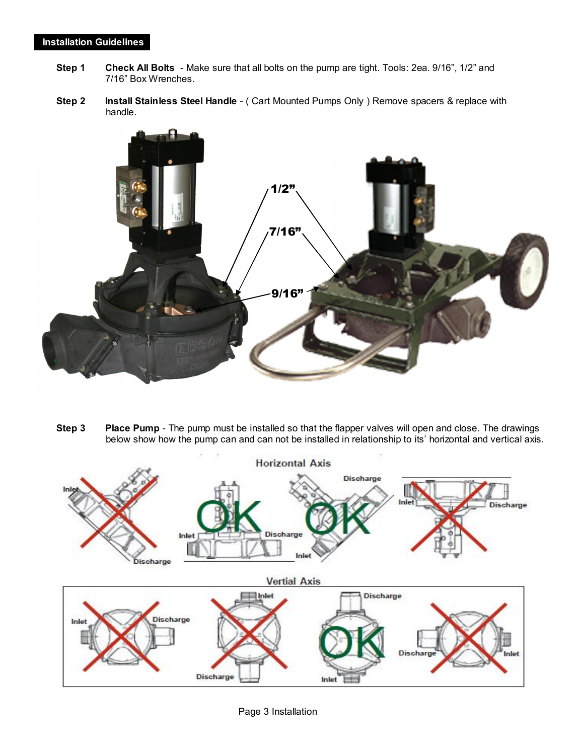## **Installation Guidelines**

- **Step 1 Check All Bolts** Make sure that all bolts on the pump are tight. Tools: 2ea. 9/16", 1/2" and 7/16" Box Wrenches.
- **Step 2 Install Stainless Steel Handle**  ( Cart Mounted Pumps Only ) Remove spacers & replace with handle.



 **Step 3 Place Pump** - The pump must be installed so that the flapper valves will open and close. The drawings below show how the pump can and can not be installed in relationship to its' horizontal and vertical axis.



Page 3 Installation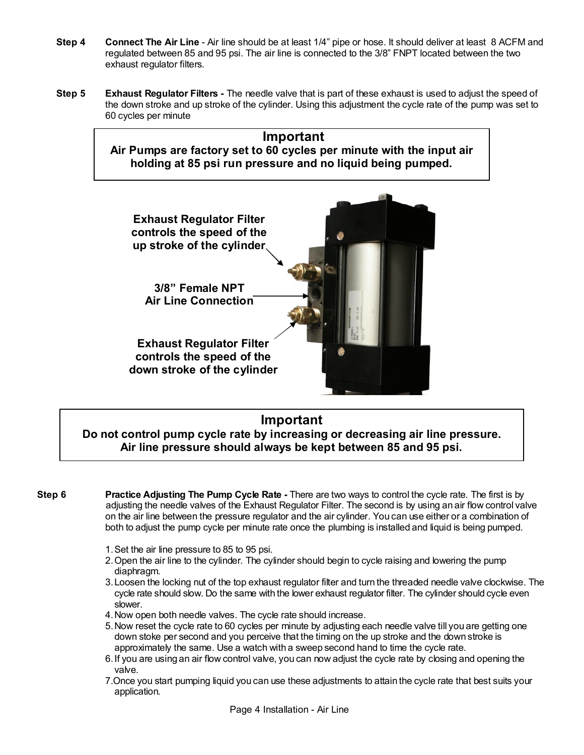- **Step 4 Connect The Air Line**  Air line should be at least 1/4" pipe or hose. It should deliver at least 8 ACFM and regulated between 85 and 95 psi. The air line is connected to the 3/8" FNPT located between the two exhaust regulator filters.
- **Step 5 Exhaust Regulator Filters** The needle valve that is part of these exhaust is used to adjust the speed of the down stroke and up stroke of the cylinder. Using this adjustment the cycle rate of the pump was set to 60 cycles per minute





# **Important Do not control pump cycle rate by increasing or decreasing air line pressure. Air line pressure should always be kept between 85 and 95 psi.**

- **Step 6 Practice Adjusting The Pump Cycle Rate -** There are two ways to control the cycle rate. The first is by adjusting the needle valves of the Exhaust Regulator Filter. The second is by using an air flow control valve on the air line between the pressure regulator and the air cylinder. You can use either or a combination of both to adjust the pump cycle per minute rate once the plumbing is installed and liquid is being pumped.
	- 1. Set the air line pressure to 85 to 95 psi.
	- 2. Open the air line to the cylinder. The cylinder should begin to cycle raising and lowering the pump diaphragm.
	- 3. Loosen the locking nut of the top exhaust regulator filter and turn the threaded needle valve clockwise. The cycle rate should slow. Do the same with the lower exhaust regulator filter. The cylinder should cycle even slower.
	- 4. Now open both needle valves. The cycle rate should increase.
	- 5. Now reset the cycle rate to 60 cycles per minute by adjusting each needle valve till you are getting one down stoke per second and you perceive that the timing on the up stroke and the down stroke is approximately the same. Use a watch with a sweep second hand to time the cycle rate.
	- 6. If you are using an air flow control valve, you can now adjust the cycle rate by closing and opening the valve.
	- 7.Once you start pumping liquid you can use these adjustments to attain the cycle rate that best suits your application.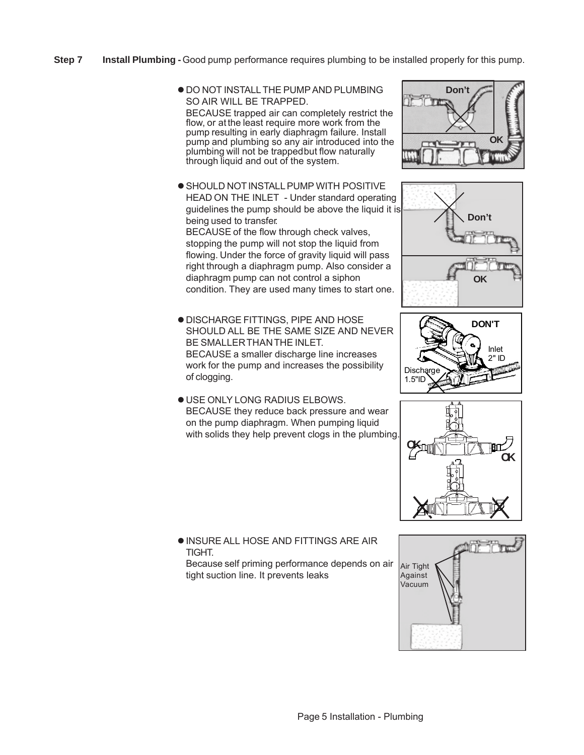- **Step 7** Install Plumbing Good pump performance requires plumbing to be installed properly for this pump.
	- $\bullet$  DO NOT INSTALL THE PUMP AND PLUMBING SO AIR WILL BE TRAPPED. BECAUSE trapped air can completely restrict the flow, or at the least require more work from the pump resulting in early diaphragm failure. Install pump and plumbing so any air introduced into the plumbing will not be trapped but flow naturally through liquid and out of the system.
	- **.** SHOULD NOT INSTALL PUMP WITH POSITIVE HEAD ON THE INLET - Under standard operating guidelines the pump should be above the liquid it is being used to transfer. BECAUSE of the flow through check valves, stopping the pump will not stop the liquid from flowing. Under the force of gravity liquid will pass right through a diaphragm pump. Also consider a diaphragm pump can not control a siphon condition. They are used many times to start one.
	- DISCHARGE FITTINGS, PIPE AND HOSE SHOULD ALL BE THE SAME SIZE AND NEVER BE SMALLER THAN THE INLET. BECAUSE a smaller discharge line increases work for the pump and increases the possibility of clogging.
	- USE ONLY LONG RADIUS ELBOWS. BECAUSE they reduce back pressure and wear on the pump diaphragm. When pumping liquid with solids they help prevent clogs in the plumbing.









**. INSURE ALL HOSE AND FITTINGS ARE AIR TIGHT** 

Because self priming performance depends on air tight suction line. It prevents leaks

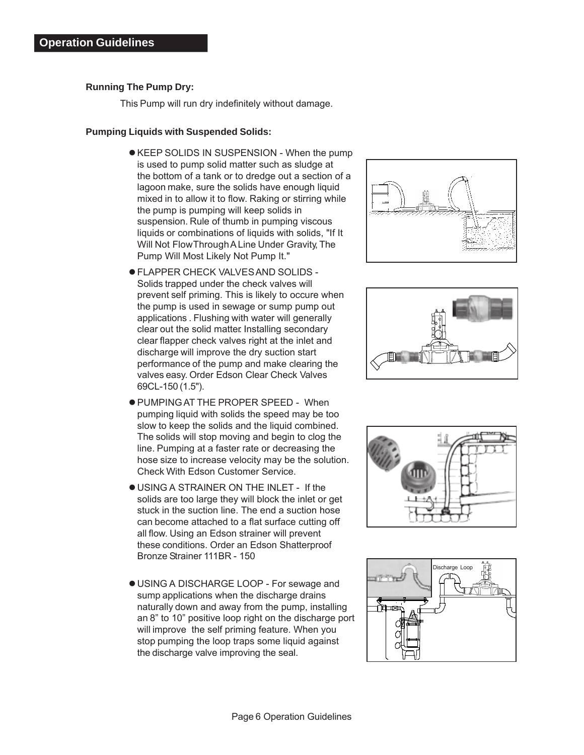## **Running The Pump Dry:**

This Pump will run dry indefinitely without damage.

#### **Pumping Liquids with Suspended Solids:**

- KEEP SOLIDS IN SUSPENSION When the pump is used to pump solid matter such as sludge at the bottom of a tank or to dredge out a section of a lagoon make, sure the solids have enough liquid mixed in to allow it to flow. Raking or stirring while the pump is pumping will keep solids in suspension. Rule of thumb in pumping viscous liquids or combinations of liquids with solids, "If It Will Not Flow Through A Line Under Gravity, The Pump Will Most Likely Not Pump It."
- FLAPPER CHECK VALVES AND SOLIDS Solids trapped under the check valves will prevent self priming. This is likely to occure when the pump is used in sewage or sump pump out applications . Flushing with water will generally clear out the solid matter. Installing secondary clear flapper check valves right at the inlet and discharge will improve the dry suction start performance of the pump and make clearing the valves easy. Order Edson Clear Check Valves 69CL-150 (1.5").
- PUMPING AT THE PROPER SPEED When pumping liquid with solids the speed may be too slow to keep the solids and the liquid combined. The solids will stop moving and begin to clog the line. Pumping at a faster rate or decreasing the hose size to increase velocity may be the solution. Check With Edson Customer Service.
- USING A STRAINER ON THE INLET If the solids are too large they will block the inlet or get stuck in the suction line. The end a suction hose can become attached to a flat surface cutting off all flow. Using an Edson strainer will prevent these conditions. Order an Edson Shatterproof Bronze Strainer 111BR - 150
- USING A DISCHARGE LOOP For sewage and sump applications when the discharge drains naturally down and away from the pump, installing an 8" to 10" positive loop right on the discharge port will improve the self priming feature. When you stop pumping the loop traps some liquid against the discharge valve improving the seal.







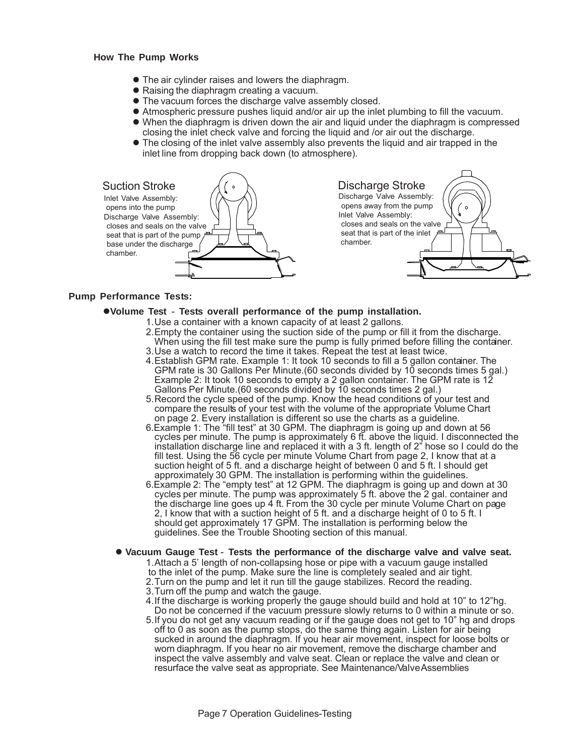#### **How The Pump Works**

- The air cylinder raises and lowers the diaphragm.
- Raising the diaphragm creating a vacuum.
- The vacuum forces the discharge valve assembly closed.
- Atmospheric pressure pushes liquid and/or air up the inlet plumbing to fill the vacuum.
- When the diaphragm is driven down the air and liquid under the diaphragm is compressed closing the inlet check valve and forcing the liquid and /or air out the discharge.
- The closing of the inlet valve assembly also prevents the liquid and air trapped in the inlet line from dropping back down (to atmosphere).



#### **Pump Performance Tests:**

- **Volume Test** - **Tests overall performance of the pump installation.**
	- 1. Use a container with a known capacity of at least 2 gallons.
		- 2.Empty the container using the suction side of the pump or fill it from the discharge. When using the fill test make sure the pump is fully primed before filling the container. 3.Use a watch to record the time it takes. Repeat the test at least twice.
		- 4.Establish GPM rate. Example 1: It took 10 seconds to fill a 5 gallon container. The GPM rate is 30 Gallons Per Minute.(60 seconds divided by 10 seconds times 5 gal.) Example 2: It took 10 seconds to empty a 2 gallon container. The GPM rate is 12 Gallons Per Minute.(60 seconds divided by 10 seconds times 2 gal.)
		- 5.Record the cycle speed of the pump. Know the head conditions of your test and compare the results of your test with the volume of the appropriate Volume Chart on page 2. Every installation is different so use the charts as a guideline.
		- 6.Example 1: The "fill test" at 30 GPM. The diaphragm is going up and down at 56 cycles per minute. The pump is approximately 6 ft. above the liquid. I disconnected the installation discharge line and replaced it with a 3 ft. length of 2" hose so I could do the fill test. Using the 56 cycle per minute Volume Chart from page 2, I know that at a suction height of 5 ft. and a discharge height of between 0 and 5 ft. I should get approximately 30 GPM. The installation is performing within the guidelines.
		- 6.Example 2: The "empty test" at 12 GPM. The diaphragm is going up and down at 30 cycles per minute. The pump was approximately 5 ft. above the 2 gal. container and the discharge line goes up 4 ft. From the 30 cycle per minute Volume Chart on page 2, I know that with a suction height of 5 ft. and a discharge height of 0 to 5 ft. I should get approximately 17 GPM. The installation is performing below the guidelines. See the Trouble Shooting section of this manual.
	- **Vacuum Gauge Test Tests the performance of the discharge valve and valve seat.** 1.Attach a 5' length of non-collapsing hose or pipe with a vacuum gauge installed to the inlet of the pump. Make sure the line is completely sealed and air tight. 2.Turn on the pump and let it run till the gauge stabilizes. Record the reading. 3.Turn off the pump and watch the gauge.
		- 4.If the discharge is working properly the gauge should build and hold at 10" to 12"hg. Do not be concerned if the vacuum pressure slowly returns to 0 within a minute or so.
		- 5.If you do not get any vacuum reading or if the gauge does not get to 10" hg and drops off to 0 as soon as the pump stops, do the same thing again. Listen for air being sucked in around the diaphragm. If you hear air movement, inspect for loose bolts or worn diaphragm. If you hear no air movement, remove the discharge chamber and inspect the valve assembly and valve seat. Clean or replace the valve and clean or resurface the valve seat as appropriate. See Maintenance/Valve Assemblies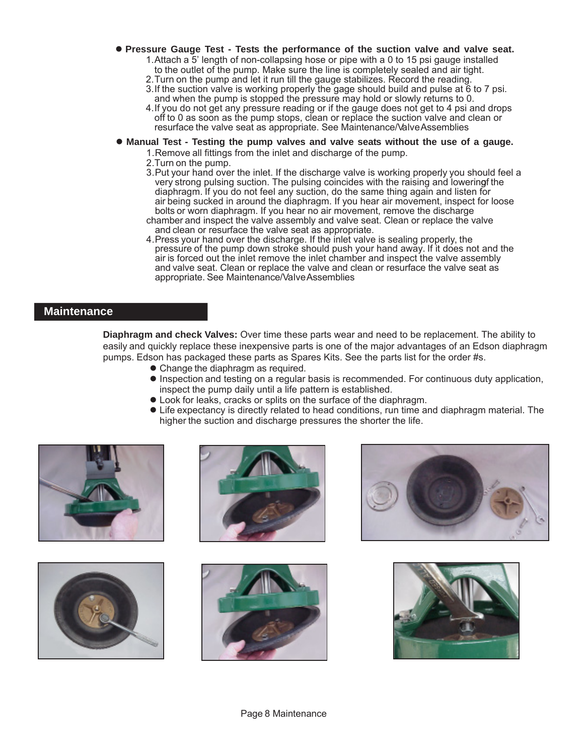- **Pressure Gauge Test Tests the performance of the suction valve and valve seat.**
	- 1.Attach a 5' length of non-collapsing hose or pipe with a 0 to 15 psi gauge installed to the outlet of the pump. Make sure the line is completely sealed and air tight.
	- 2. Turn on the pump and let it run till the gauge stabilizes. Record the reading.
	- 3.If the suction valve is working properly the gage should build and pulse at 6 to 7 psi. and when the pump is stopped the pressure may hold or slowly returns to 0.
	- 4.If you do not get any pressure reading or if the gauge does not get to 4 psi and drops off to 0 as soon as the pump stops, clean or replace the suction valve and clean or resurface the valve seat as appropriate. See Maintenance/Valve Assemblies
- **Manual Test Testing the pump valves and valve seats without the use of a gauge.**
	- 1.Remove all fittings from the inlet and discharge of the pump.
	- 2.Turn on the pump.
	- 3. Put your hand over the inlet. If the discharge valve is working properly you should feel a very strong pulsing suction. The pulsing coincides with the raising and lowering the diaphragm. If you do not feel any suction, do the same thing again and listen for air being sucked in around the diaphragm. If you hear air movement, inspect for loose bolts or worn diaphragm. If you hear no air movement, remove the discharge
	- chamber and inspect the valve assembly and valve seat. Clean or replace the valve and clean or resurface the valve seat as appropriate.
	- 4.Press your hand over the discharge. If the inlet valve is sealing properly, the pressure of the pump down stroke should push your hand away . If it does not and the air is forced out the inlet remove the inlet chamber and inspect the valve assembly and valve seat. Clean or replace the valve and clean or resurface the valve seat as appropriate. See Maintenance/Valve Assemblies

## **Maintenance**

**Diaphragm and check Valves:** Over time these parts wear and need to be replacement. The ability to easily and quickly replace these inexpensive parts is one of the major advantages of an Edson diaphragm pumps. Edson has packaged these parts as Spares Kits. See the parts list for the order #s.

- Change the diaphragm as required.
- $\bullet$  Inspection and testing on a regular basis is recommended. For continuous duty application, inspect the pump daily until a life pattern is established.
- Look for leaks, cracks or splits on the surface of the diaphragm.
- Life expectancy is directly related to head conditions, run time and diaphragm material. The higher the suction and discharge pressures the shorter the life.











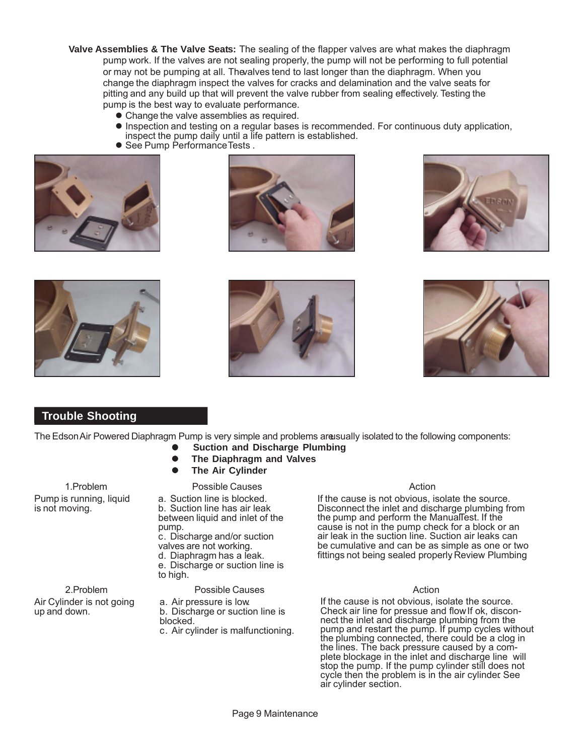**Valve Assemblies & The Valve Seats:** The sealing of the flapper valves are what makes the diaphragm pump work. If the valves are not sealing properly, the pump will not be performing to full potential or may not be pumping at all. The valves tend to last longer than the diaphragm. When you change the diaphragm inspect the valves for cracks and delamination and the valve seats for pitting and any build up that will prevent the valve rubber from sealing effectively. Testing the pump is the best way to evaluate performance.

- Change the valve assemblies as required.
- $\bullet$  Inspection and testing on a regular bases is recommended. For continuous duty application, inspect the pump daily until a life pattern is established.
- See Pump Performance Tests.













## **Trouble Shooting**

The Edson Air Powered Diaphragm Pump is very simple and problems are usually isolated to the following components:

- **Suction and Discharge Plumbing**
	- **The Diaphragm and Valves**
	- Possible Causes **The Air Cylinder**

1.Problem Pump is running, liquid is not moving.

b. Suction line has air leak between liquid and inlet of the pump. c. Discharge and/or suction

a. Suction line is blocked.

valves are not working.

d. Diaphragm has a leak. e. Discharge or suction line is

to high.

Possible Causes

- a. Air pressure is low. b. Discharge or suction line is blocked.
- c. Air cylinder is malfunctioning.

#### Action

If the cause is not obvious, isolate the source. Disconnect the inlet and discharge plumbing from the pump and perform the ManualTest. If the cause is not in the pump check for a block or an air leak in the suction line. Suction air leaks can be cumulative and can be as simple as one or two fittings not being sealed properly Review Plumbing

#### Action

If the cause is not obvious, isolate the source. Check air line for pressue and flow If ok, disconnect the inlet and discharge plumbing from the pump and restart the pump. If pump cycles without the plumbing connected, there could be a clog in the lines. The back pressure caused by a complete blockage in the inlet and discharge line will stop the pump. If the pump cylinder still does not cycle then the problem is in the air cylinder. See air cylinder section.

2.Problem Air Cylinder is not going

up and down.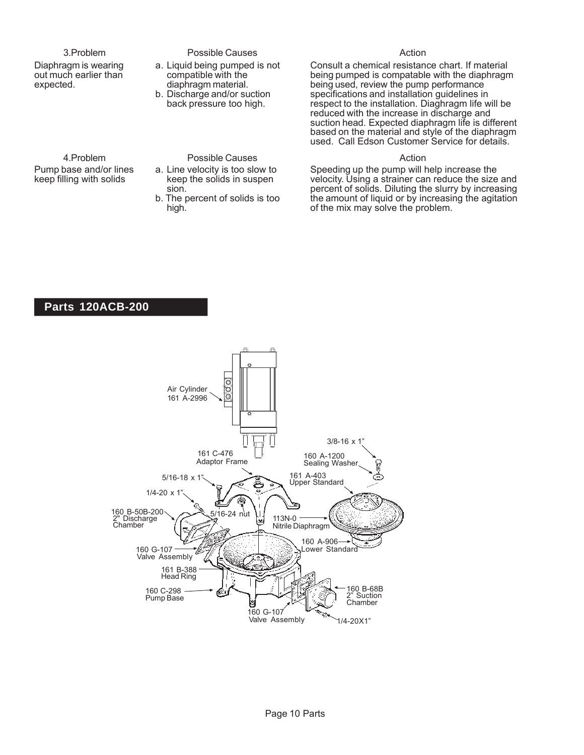#### 3.Problem

4.Problem Pump base and/or lines keep filling with solids

Diaphragm is wearing out much earlier than expected.

#### Possible Causes

- a. Liquid being pumped is not compatible with the diaphragm material.
- b. Discharge and/or suction back pressure too high.

## Possible Causes

- a. Line velocity is too slow to keep the solids in suspen sion.
	- b. The percent of solids is too high.

#### Action

Consult a chemical resistance chart. If material being pumped is compatable with the diaphragm being used, review the pump performance specifications and installation guidelines in respect to the installation. Diaghragm life will be reduced with the increase in discharge and suction head. Expected diaphragm life is different based on the material and style of the diaphragm used. Call Edson Customer Service for details.

#### Action

Speeding up the pump will help increase the velocity. Using a strainer can reduce the size and percent of solids. Diluting the slurry by increasing the amount of liquid or by increasing the agitation of the mix may solve the problem.

## **Parts 120ACB-200**

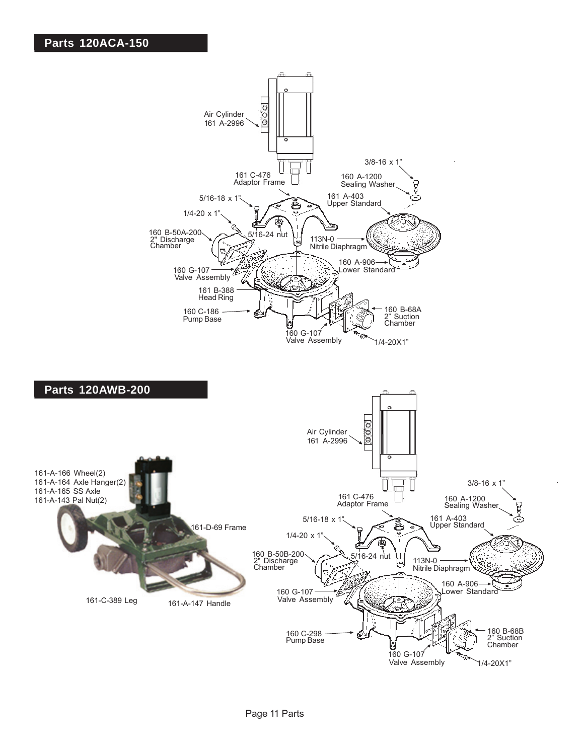